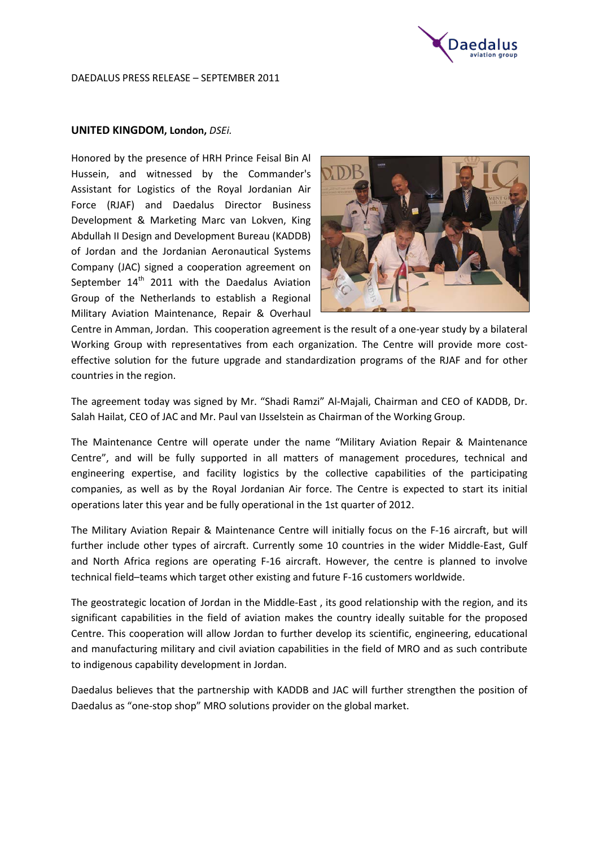

#### DAEDALUS PRESS RELEASE – SEPTEMBER 2011

## **UNITED KINGDOM, London,** *DSEi.*

Honored by the presence of HRH Prince Feisal Bin Al Hussein, and witnessed by the Commander's Assistant for Logistics of the Royal Jordanian Air Force (RJAF) and Daedalus Director Business Development & Marketing Marc van Lokven, King Abdullah II Design and Development Bureau (KADDB) of Jordan and the Jordanian Aeronautical Systems Company (JAC) signed a cooperation agreement on September  $14<sup>th</sup>$  2011 with the Daedalus Aviation Group of the Netherlands to establish a Regional Military Aviation Maintenance, Repair & Overhaul



Centre in Amman, Jordan. This cooperation agreement is the result of a one-year study by a bilateral Working Group with representatives from each organization. The Centre will provide more costeffective solution for the future upgrade and standardization programs of the RJAF and for other countries in the region.

The agreement today was signed by Mr. "Shadi Ramzi" Al-Majali, Chairman and CEO of KADDB, Dr. Salah Hailat, CEO of JAC and Mr. Paul van IJsselstein as Chairman of the Working Group.

The Maintenance Centre will operate under the name "Military Aviation Repair & Maintenance Centre", and will be fully supported in all matters of management procedures, technical and engineering expertise, and facility logistics by the collective capabilities of the participating companies, as well as by the Royal Jordanian Air force. The Centre is expected to start its initial operations later this year and be fully operational in the 1st quarter of 2012.

The Military Aviation Repair & Maintenance Centre will initially focus on the F-16 aircraft, but will further include other types of aircraft. Currently some 10 countries in the wider Middle-East, Gulf and North Africa regions are operating F-16 aircraft. However, the centre is planned to involve technical field–teams which target other existing and future F-16 customers worldwide.

The geostrategic location of Jordan in the Middle-East , its good relationship with the region, and its significant capabilities in the field of aviation makes the country ideally suitable for the proposed Centre. This cooperation will allow Jordan to further develop its scientific, engineering, educational and manufacturing military and civil aviation capabilities in the field of MRO and as such contribute to indigenous capability development in Jordan.

Daedalus believes that the partnership with KADDB and JAC will further strengthen the position of Daedalus as "one-stop shop" MRO solutions provider on the global market.